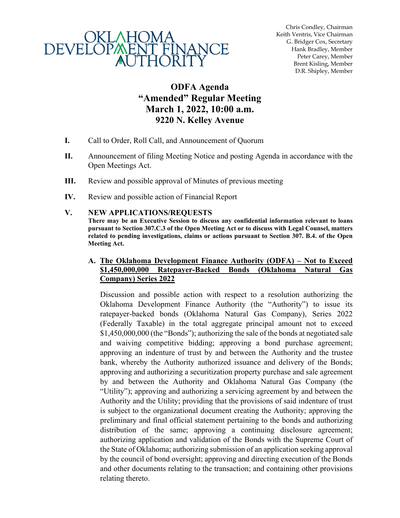

Chris Condley, Chairman Keith Ventris, Vice Chairman G. Bridger Cox, Secretary Hank Bradley, Member Peter Carey, Member Brent Kisling, Member D.R. Shipley, Member

# **ODFA Agenda "Amended" Regular Meeting March 1, 2022, 10:00 a.m. 9220 N. Kelley Avenue**

- **I.** Call to Order, Roll Call, and Announcement of Quorum
- **II.** Announcement of filing Meeting Notice and posting Agenda in accordance with the Open Meetings Act.
- **III.** Review and possible approval of Minutes of previous meeting
- **IV.** Review and possible action of Financial Report

#### **V. NEW APPLICATIONS/REQUESTS**

**There may be an Executive Session to discuss any confidential information relevant to loans pursuant to Section 307.C.3 of the Open Meeting Act or to discuss with Legal Counsel, matters related to pending investigations, claims or actions pursuant to Section 307. B.4. of the Open Meeting Act.** 

#### **A. The Oklahoma Development Finance Authority (ODFA) – Not to Exceed \$1,450,000,000 Ratepayer-Backed Bonds (Oklahoma Natural Gas Company) Series 2022**

Discussion and possible action with respect to a resolution authorizing the Oklahoma Development Finance Authority (the "Authority") to issue its ratepayer-backed bonds (Oklahoma Natural Gas Company), Series 2022 (Federally Taxable) in the total aggregate principal amount not to exceed \$1,450,000,000 (the "Bonds"); authorizing the sale of the bonds at negotiated sale and waiving competitive bidding; approving a bond purchase agreement; approving an indenture of trust by and between the Authority and the trustee bank, whereby the Authority authorized issuance and delivery of the Bonds; approving and authorizing a securitization property purchase and sale agreement by and between the Authority and Oklahoma Natural Gas Company (the "Utility"); approving and authorizing a servicing agreement by and between the Authority and the Utility; providing that the provisions of said indenture of trust is subject to the organizational document creating the Authority; approving the preliminary and final official statement pertaining to the bonds and authorizing distribution of the same; approving a continuing disclosure agreement; authorizing application and validation of the Bonds with the Supreme Court of the State of Oklahoma; authorizing submission of an application seeking approval by the council of bond oversight; approving and directing execution of the Bonds and other documents relating to the transaction; and containing other provisions relating thereto.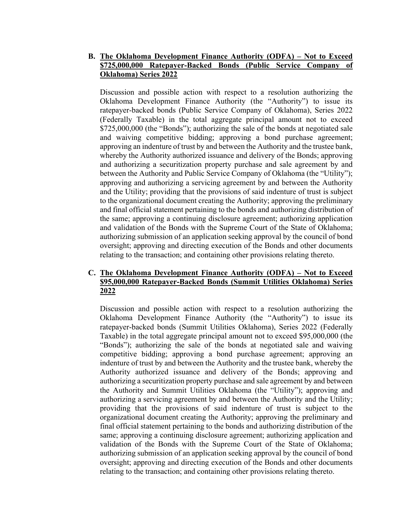### **B. The Oklahoma Development Finance Authority (ODFA) – Not to Exceed \$725,000,000 Ratepayer-Backed Bonds (Public Service Company of Oklahoma) Series 2022**

Discussion and possible action with respect to a resolution authorizing the Oklahoma Development Finance Authority (the "Authority") to issue its ratepayer-backed bonds (Public Service Company of Oklahoma), Series 2022 (Federally Taxable) in the total aggregate principal amount not to exceed \$725,000,000 (the "Bonds"); authorizing the sale of the bonds at negotiated sale and waiving competitive bidding; approving a bond purchase agreement; approving an indenture of trust by and between the Authority and the trustee bank, whereby the Authority authorized issuance and delivery of the Bonds; approving and authorizing a securitization property purchase and sale agreement by and between the Authority and Public Service Company of Oklahoma (the "Utility"); approving and authorizing a servicing agreement by and between the Authority and the Utility; providing that the provisions of said indenture of trust is subject to the organizational document creating the Authority; approving the preliminary and final official statement pertaining to the bonds and authorizing distribution of the same; approving a continuing disclosure agreement; authorizing application and validation of the Bonds with the Supreme Court of the State of Oklahoma; authorizing submission of an application seeking approval by the council of bond oversight; approving and directing execution of the Bonds and other documents relating to the transaction; and containing other provisions relating thereto.

# **C. The Oklahoma Development Finance Authority (ODFA) – Not to Exceed \$95,000,000 Ratepayer-Backed Bonds (Summit Utilities Oklahoma) Series 2022**

Discussion and possible action with respect to a resolution authorizing the Oklahoma Development Finance Authority (the "Authority") to issue its ratepayer-backed bonds (Summit Utilities Oklahoma), Series 2022 (Federally Taxable) in the total aggregate principal amount not to exceed \$95,000,000 (the "Bonds"); authorizing the sale of the bonds at negotiated sale and waiving competitive bidding; approving a bond purchase agreement; approving an indenture of trust by and between the Authority and the trustee bank, whereby the Authority authorized issuance and delivery of the Bonds; approving and authorizing a securitization property purchase and sale agreement by and between the Authority and Summit Utilities Oklahoma (the "Utility"); approving and authorizing a servicing agreement by and between the Authority and the Utility; providing that the provisions of said indenture of trust is subject to the organizational document creating the Authority; approving the preliminary and final official statement pertaining to the bonds and authorizing distribution of the same; approving a continuing disclosure agreement; authorizing application and validation of the Bonds with the Supreme Court of the State of Oklahoma; authorizing submission of an application seeking approval by the council of bond oversight; approving and directing execution of the Bonds and other documents relating to the transaction; and containing other provisions relating thereto.